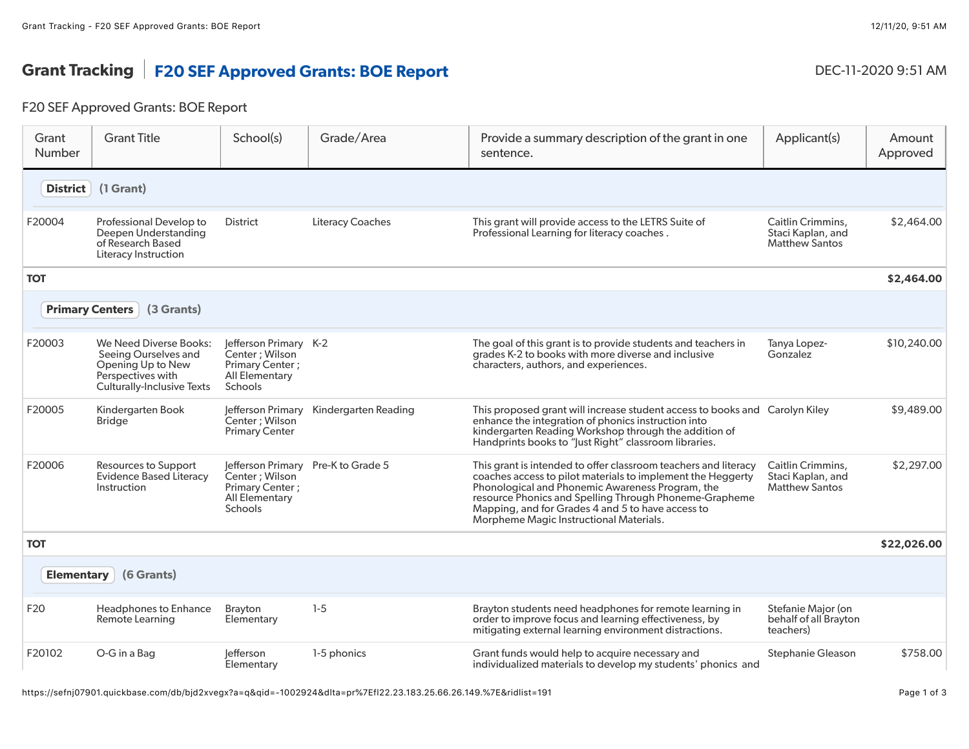## Grant Tracking | F20 SEF Approved Grants: BOE Report DEC-11-2020 9:51 AM

## F20 SEF Approved Grants: BOE Report

| Grant<br><b>Number</b> | <b>Grant Title</b>                                                                                                            | School(s)                                                                                                          | Grade/Area              | Provide a summary description of the grant in one<br>sentence.                                                                                                                                                                                                                                                                               | Applicant(s)                                                    | Amount<br>Approved |
|------------------------|-------------------------------------------------------------------------------------------------------------------------------|--------------------------------------------------------------------------------------------------------------------|-------------------------|----------------------------------------------------------------------------------------------------------------------------------------------------------------------------------------------------------------------------------------------------------------------------------------------------------------------------------------------|-----------------------------------------------------------------|--------------------|
| <b>District</b>        | (1 Grant)                                                                                                                     |                                                                                                                    |                         |                                                                                                                                                                                                                                                                                                                                              |                                                                 |                    |
| F20004                 | Professional Develop to<br>Deepen Understanding<br>of Research Based<br>Literacy Instruction                                  | District                                                                                                           | <b>Literacy Coaches</b> | This grant will provide access to the LETRS Suite of<br>Professional Learning for literacy coaches.                                                                                                                                                                                                                                          | Caitlin Crimmins,<br>Staci Kaplan, and<br><b>Matthew Santos</b> | \$2,464.00         |
| <b>TOT</b>             |                                                                                                                               |                                                                                                                    |                         |                                                                                                                                                                                                                                                                                                                                              |                                                                 | \$2,464.00         |
|                        | <b>Primary Centers</b><br>(3 Grants)                                                                                          |                                                                                                                    |                         |                                                                                                                                                                                                                                                                                                                                              |                                                                 |                    |
| F20003                 | We Need Diverse Books:<br>Seeing Ourselves and<br>Opening Up to New<br>Perspectives with<br><b>Culturally-Inclusive Texts</b> | Jefferson Primary K-2<br>Center; Wilson<br>Primary Center;<br>All Elementary<br>Schools                            |                         | The goal of this grant is to provide students and teachers in<br>grades K-2 to books with more diverse and inclusive<br>characters, authors, and experiences.                                                                                                                                                                                | Tanya Lopez-<br>Gonzalez                                        | \$10,240.00        |
| F20005                 | Kindergarten Book<br>Bridge                                                                                                   | Jefferson Primary<br>Center; Wilson<br><b>Primary Center</b>                                                       | Kindergarten Reading    | This proposed grant will increase student access to books and Carolyn Kiley<br>enhance the integration of phonics instruction into<br>kindergarten Reading Workshop through the addition of<br>Handprints books to "Just Right" classroom libraries.                                                                                         |                                                                 | \$9,489.00         |
| F20006                 | Resources to Support<br><b>Evidence Based Literacy</b><br>Instruction                                                         | Jefferson Primary Pre-K to Grade 5<br>Center; Wilson<br>Primary Center;<br><b>All Elementary</b><br><b>Schools</b> |                         | This grant is intended to offer classroom teachers and literacy<br>coaches access to pilot materials to implement the Heggerty<br>Phonological and Phonemic Awareness Program, the<br>resource Phonics and Spelling Through Phoneme-Grapheme<br>Mapping, and for Grades 4 and 5 to have access to<br>Morpheme Magic Instructional Materials. | Caitlin Crimmins,<br>Staci Kaplan, and<br><b>Matthew Santos</b> | \$2,297.00         |
| <b>TOT</b>             |                                                                                                                               |                                                                                                                    |                         |                                                                                                                                                                                                                                                                                                                                              |                                                                 | \$22,026.00        |
| <b>Elementary</b>      | (6 Grants)                                                                                                                    |                                                                                                                    |                         |                                                                                                                                                                                                                                                                                                                                              |                                                                 |                    |
| F20                    | Headphones to Enhance<br>Remote Learning                                                                                      | Brayton<br>Elementary                                                                                              | $1-5$                   | Brayton students need headphones for remote learning in<br>order to improve focus and learning effectiveness, by<br>mitigating external learning environment distractions.                                                                                                                                                                   | Stefanie Major (on<br>behalf of all Brayton<br>teachers)        |                    |
| F20102                 | O-G in a Bag                                                                                                                  | lefferson<br>Elementary                                                                                            | 1-5 phonics             | Grant funds would help to acquire necessary and<br>individualized materials to develop my students' phonics and                                                                                                                                                                                                                              | Stephanie Gleason                                               | \$758.00           |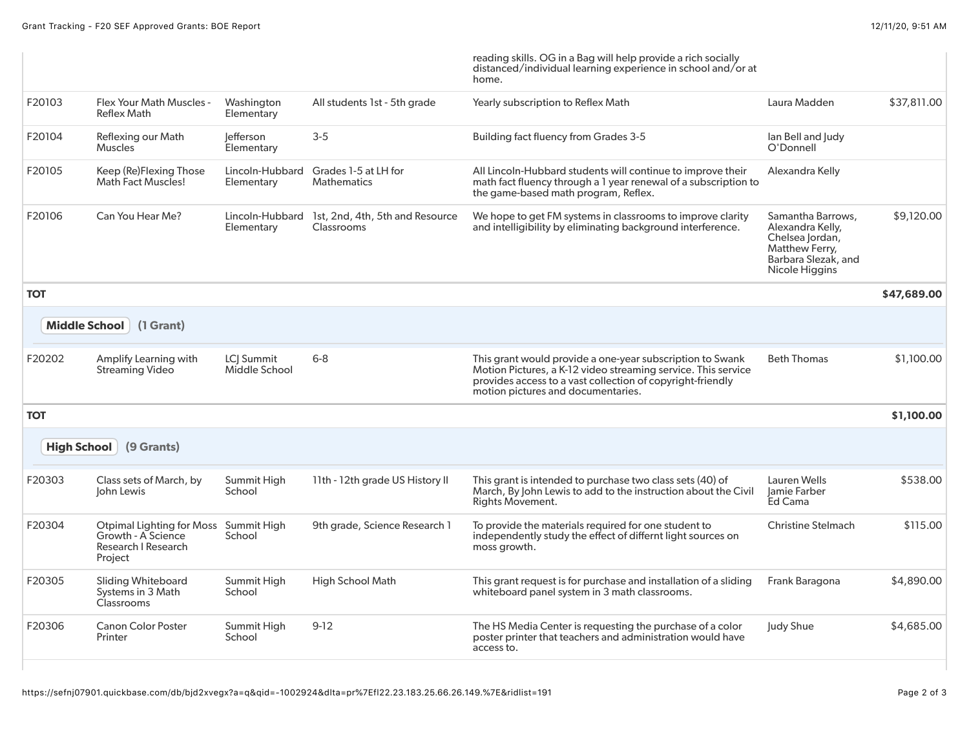|                    |                                                                                   |                               |                                               | reading skills. OG in a Bag will help provide a rich socially<br>distanced/individual learning experience in school and/or at<br>home.                                                                                         |                                                                                                                     |             |
|--------------------|-----------------------------------------------------------------------------------|-------------------------------|-----------------------------------------------|--------------------------------------------------------------------------------------------------------------------------------------------------------------------------------------------------------------------------------|---------------------------------------------------------------------------------------------------------------------|-------------|
| F20103             | Flex Your Math Muscles -<br><b>Reflex Math</b>                                    | Washington<br>Elementary      | All students 1st - 5th grade                  | Yearly subscription to Reflex Math                                                                                                                                                                                             | Laura Madden                                                                                                        | \$37,811.00 |
| F20104             | Reflexing our Math<br><b>Muscles</b>                                              | lefferson<br>Elementary       | $3 - 5$                                       | <b>Building fact fluency from Grades 3-5</b>                                                                                                                                                                                   | lan Bell and Judy<br>O'Donnell                                                                                      |             |
| F20105             | Keep (Re)Flexing Those<br><b>Math Fact Muscles!</b>                               | Lincoln-Hubbard<br>Elementary | Grades 1-5 at LH for<br><b>Mathematics</b>    | All Lincoln-Hubbard students will continue to improve their<br>math fact fluency through a 1 year renewal of a subscription to<br>the game-based math program, Reflex.                                                         | Alexandra Kelly                                                                                                     |             |
| F20106             | Can You Hear Me?                                                                  | Lincoln-Hubbard<br>Elementary | 1st, 2nd, 4th, 5th and Resource<br>Classrooms | We hope to get FM systems in classrooms to improve clarity<br>and intelligibility by eliminating background interference.                                                                                                      | Samantha Barrows,<br>Alexandra Kelly,<br>Chelsea lordan,<br>Matthew Ferry,<br>Barbara Slezak, and<br>Nicole Higgins | \$9,120,00  |
| <b>TOT</b>         |                                                                                   |                               |                                               |                                                                                                                                                                                                                                |                                                                                                                     | \$47,689.00 |
|                    | Middle School (1 Grant)                                                           |                               |                                               |                                                                                                                                                                                                                                |                                                                                                                     |             |
| F20202             | Amplify Learning with<br><b>Streaming Video</b>                                   | LCJ Summit<br>Middle School   | $6 - 8$                                       | This grant would provide a one-year subscription to Swank<br>Motion Pictures, a K-12 video streaming service. This service<br>provides access to a vast collection of copyright-friendly<br>motion pictures and documentaries. | <b>Beth Thomas</b>                                                                                                  | \$1,100.00  |
| <b>TOT</b>         |                                                                                   |                               |                                               |                                                                                                                                                                                                                                |                                                                                                                     | \$1,100.00  |
| <b>High School</b> | (9 Grants)                                                                        |                               |                                               |                                                                                                                                                                                                                                |                                                                                                                     |             |
| F20303             | Class sets of March, by<br>John Lewis                                             | Summit High<br>School         | 11th - 12th grade US History II               | This grant is intended to purchase two class sets (40) of<br>March, By John Lewis to add to the instruction about the Civil<br>Rights Movement.                                                                                | Lauren Wells<br>lamie Farber<br>Ed Cama                                                                             | \$538.00    |
| F20304             | Otpimal Lighting for Moss<br>Growth - A Science<br>Research I Research<br>Project | Summit High<br>School         | 9th grade, Science Research 1                 | To provide the materials required for one student to<br>independently study the effect of differnt light sources on<br>moss growth.                                                                                            | <b>Christine Stelmach</b>                                                                                           | \$115.00    |
| F20305             | <b>Sliding Whiteboard</b><br>Systems in 3 Math<br>Classrooms                      | Summit High<br>School         | <b>High School Math</b>                       | This grant request is for purchase and installation of a sliding<br>whiteboard panel system in 3 math classrooms.                                                                                                              | Frank Baragona                                                                                                      | \$4,890.00  |
| F20306             | <b>Canon Color Poster</b><br>Printer                                              | Summit High<br>School         | $9-12$                                        | The HS Media Center is requesting the purchase of a color<br>poster printer that teachers and administration would have<br>access to.                                                                                          | Judy Shue                                                                                                           | \$4,685.00  |